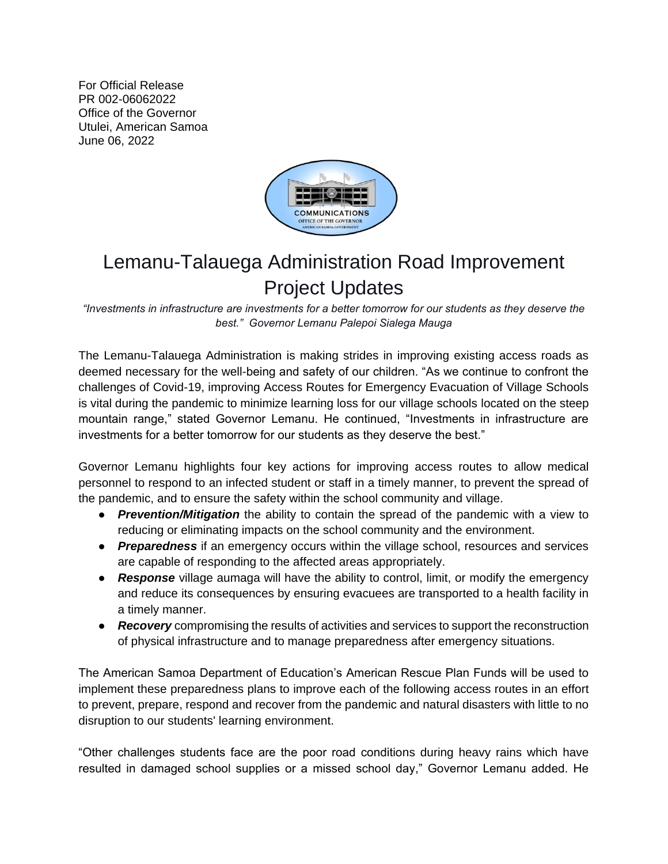For Official Release PR 002-06062022 Office of the Governor Utulei, American Samoa June 06, 2022



## Lemanu-Talauega Administration Road Improvement Project Updates

*"Investments in infrastructure are investments for a better tomorrow for our students as they deserve the best." Governor Lemanu Palepoi Sialega Mauga* 

The Lemanu-Talauega Administration is making strides in improving existing access roads as deemed necessary for the well-being and safety of our children. "As we continue to confront the challenges of Covid-19, improving Access Routes for Emergency Evacuation of Village Schools is vital during the pandemic to minimize learning loss for our village schools located on the steep mountain range," stated Governor Lemanu. He continued, "Investments in infrastructure are investments for a better tomorrow for our students as they deserve the best."

Governor Lemanu highlights four key actions for improving access routes to allow medical personnel to respond to an infected student or staff in a timely manner, to prevent the spread of the pandemic, and to ensure the safety within the school community and village.

- **Prevention/Mitigation** the ability to contain the spread of the pandemic with a view to reducing or eliminating impacts on the school community and the environment.
- *Preparedness* if an emergency occurs within the village school, resources and services are capable of responding to the affected areas appropriately.
- *Response* village aumaga will have the ability to control, limit, or modify the emergency and reduce its consequences by ensuring evacuees are transported to a health facility in a timely manner.
- *Recovery* compromising the results of activities and services to support the reconstruction of physical infrastructure and to manage preparedness after emergency situations.

The American Samoa Department of Education's American Rescue Plan Funds will be used to implement these preparedness plans to improve each of the following access routes in an effort to prevent, prepare, respond and recover from the pandemic and natural disasters with little to no disruption to our students' learning environment.

"Other challenges students face are the poor road conditions during heavy rains which have resulted in damaged school supplies or a missed school day," Governor Lemanu added. He